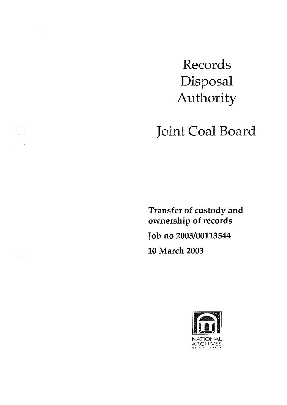Records Disposal Authority

 $\begin{array}{c} \mathbb{Z} \\ \mathbb{Z} \end{array}$ 

 $\left\{ \begin{array}{c} 1 \\ 1 \end{array} \right\}$ 

Joint Coal Board

Transfer of custody and ownership of records Job no *2003/00113544*  10 March 2003

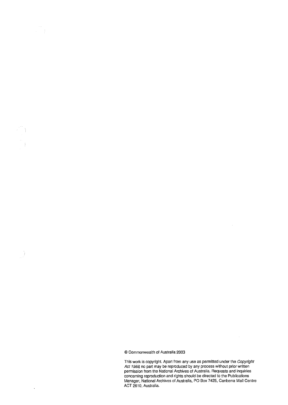© Commonwealth of Australia2003

 $\frac{1}{2}$ 

 $\mathcal{L}$ 

This work is copyright. Apart from any use as permitted under the Copyright Act 1968 no part may be reproduced by any process without prior written permission from the National Archives of Australia. Requests and inquiries concerning reproduction and rights should be directed to the Publications Manager, National Archives of Australia, PO Box 7425, Canberra Mail Centre ACT 2610, Australia.

 $\hat{\mathcal{A}}$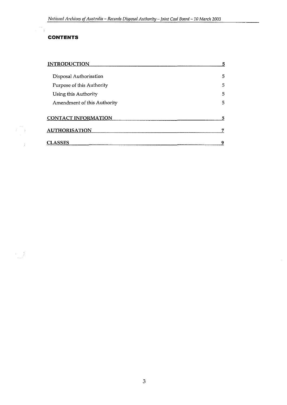#### **CONTENTS**

 $\mathcal{F} \subseteq \mathcal{F}$ 

 $\begin{aligned} \frac{1}{2} & \frac{1}{2} \frac{1}{2} \frac{1}{2} \frac{1}{2} \frac{1}{2} \frac{1}{2} \frac{1}{2} \frac{1}{2} \frac{1}{2} \frac{1}{2} \frac{1}{2} \frac{1}{2} \frac{1}{2} \frac{1}{2} \frac{1}{2} \frac{1}{2} \frac{1}{2} \frac{1}{2} \frac{1}{2} \frac{1}{2} \frac{1}{2} \frac{1}{2} \frac{1}{2} \frac{1}{2} \frac{1}{2} \frac{1}{2} \frac{1}{2} \frac{1}{2} \frac{1}{2} \frac{1$ 

 $\left\{ \begin{array}{c} 1 \\ 0 \\ 0 \\ 0 \end{array} \right\}$ 

Ĵ

| <b>INTRODUCTION</b>         | 5 |  |
|-----------------------------|---|--|
|                             |   |  |
| Disposal Authorisation      | 5 |  |
| Purpose of this Authority   | 5 |  |
| Using this Authority        | 5 |  |
| Amendment of this Authority | 5 |  |
| <b>CONTACT INFORMATION</b>  | 5 |  |
| <b>AUTHORISATION</b>        | 7 |  |
| LASSES                      | 9 |  |

 $\sim$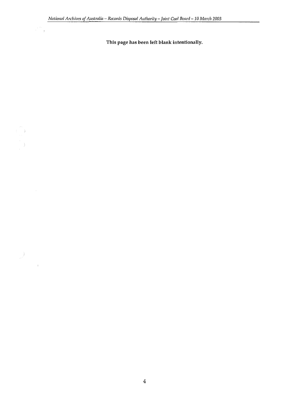$\mathbb{R}^{m_1}$  .

 $\omega^j$ 

 $\mathcal{A}^{\mathcal{A}}$ 

 $\frac{1}{\sqrt{2}}$ 

**This page has been left blank intentionally.**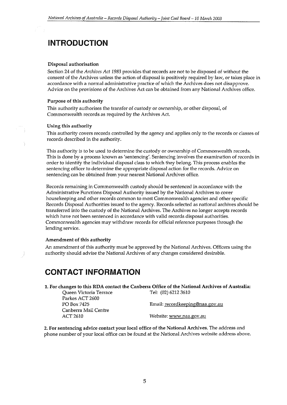## **INTRODUCTION**

#### **Disposal authorisation**

Section 24 of the *Archives Act* 1983 provides that records are not to be disposed of without the consent of the Archives unless the action of disposal is positively required by law, or takes place in accordance with a normal administrative practice of which the Archives does not disapprove. Advice on the provisions of the Archives Act can be obtained from any National Archives office.

#### Purpose of this authority

This authority authorises the transfer of custody or ownership, or other disposal, of Commonwealth records as required by the Archives Act.

#### Using this authority

This authority covers records controlled by the agency and applies only to the records or classes of records described in the authority.

This authority is to be used to determine the custody or ownership of Commonwealth records. **This is done by a process known as 'sentencing'. Sentencing involves the examination of records in**  order to identify the individual disposal class to which they belong. This process enables the sentencing officer to determine the appropriate disposal action for the records. Advice on sentencing can be obtained from your nearest National Archives office.

Records remaining in Commonwealth custody should be sentenced in accordance with the Administrative Functions Disposal Authority issued by the National Archives to cover housekeeping and other records common to most Commonwealth agencies and other specific Records Disposal Authorities issued to the agency. Records selected as national archives should be transferred into the custody of the National Archives. The Archives no longer accepts records which have not been sentenced in accordance with valid records disposal authorities. Commonwealth agencies may withdraw records for official reference purposes through the lending service.

#### Amendment of this authority

An amendment of this authority must be approved by the National Archives. Officers using the authority should advise the National Archives of any changes considered desirable.

## **CONTACT INFORMATION**

#### 1. For changes to this RDA contact the Canberra Office of the National Archives of Australia:

| Queen Victoria Terrace | Tel: (02) 6212 3610             |
|------------------------|---------------------------------|
| Parkes ACT 2600        |                                 |
| PO Box 7425            | Email: recordkeeping@naa.gov.au |
| Canberra Mail Centre   |                                 |
| ACT 2610               | Website: www.naa.gov.au         |

2. For sentencing advice contact your local office of the National Archives. The address and phone number of your local office can be found at the National Archives website address above.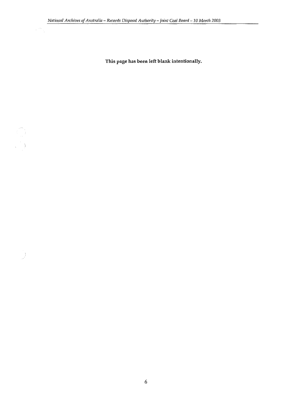**This page has been left blank intentionally.** 

 $\label{eq:2} \frac{1}{2}\frac{1}{\sqrt{2}}\frac{d\phi}{d\phi}$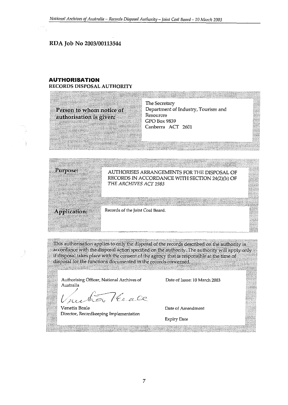### **RDA Job No** *2003/00113544*

#### **AUTHORISATION RECORDS DISPOSAL AUTHORITY**

Person to whom notice of authorisation is given:

The Secretary Department of Industry, Tourism and Resources **GPO Box 9839** Canberra ACT 2601

|                                                                                                                                                                                                                                                                                                                                                                                                                                                                       | a sa mga bagayan ng mga kalawang ng mga kalawang ng mga kalawang ng mga kalawang ng mga kalawang ng mga kalawa |                                                                                                                                                                                      |
|-----------------------------------------------------------------------------------------------------------------------------------------------------------------------------------------------------------------------------------------------------------------------------------------------------------------------------------------------------------------------------------------------------------------------------------------------------------------------|----------------------------------------------------------------------------------------------------------------|--------------------------------------------------------------------------------------------------------------------------------------------------------------------------------------|
|                                                                                                                                                                                                                                                                                                                                                                                                                                                                       |                                                                                                                |                                                                                                                                                                                      |
| <b>El'urpose:</b>                                                                                                                                                                                                                                                                                                                                                                                                                                                     |                                                                                                                | comment when<br><b>MARK SIMANGUS</b>                                                                                                                                                 |
|                                                                                                                                                                                                                                                                                                                                                                                                                                                                       | AUTHORISES ARRANGEMENTS FOR THE DISPOSAL OF                                                                    | 27772222222<br>comment of the con-                                                                                                                                                   |
| ing during the wind and an ensume excession of hel go which my system<br>decreased a marrier can decode una production provided to the material contract of the con-<br>for the first in a Direct and in the first product of the contract of the product of the product of the product of the contract of the contract of the contract of the contract of the contract of the contract of the contrac                                                                |                                                                                                                | $\frac{1}{2}$                                                                                                                                                                        |
| entiken man termene ein motor op as spectralisme externational statistics are spectral per la period and<br>htemaka karonogo krajona mendudire kambo osobna sorazionala kazisti osobo da ka<br>APP CRIMINAL MARINA A PARAGEMENT COMPOSITION AND ENTERTAINMENT AND ARRANGEMENT OF                                                                                                                                                                                      | RECORDS IN ACCORDANCE WITH SECTION 24(2)(b) OF                                                                 |                                                                                                                                                                                      |
| an agus ann an chosaigh baile an can an comar gu an chosair a t-air agus a' gus a bhliad a leith<br>woodstreet is an experience of the community of the special of a property companies and                                                                                                                                                                                                                                                                           |                                                                                                                | $\begin{array}{l} \begin{array}{c} \text{Maxwell} \\ \text{Maxwell} \\ \text{Matrix} \\ \text{Matrix} \\ \text{Matrix} \\ \text{Matrix} \\ \text{Matrix} \\ \end{array} \end{array}$ |
| http://www.com/www.com/com/swanga.opt/society.com/www.com/sauthors-2010/2010/06/<br>which there has no were are a realized special construction of an experimental contract that it is not a second<br>ministra di videnme essere energia el mano de servica (contradi describir costenezzare con estado                                                                                                                                                              | THE ARCHIVES ACT 1983                                                                                          |                                                                                                                                                                                      |
| gang, permanca and international method of the input in the first management.<br>meteorologi oman onat britati tasti ili ili kommunista esi yli juli kommunista del<br>the communication of the communication of the communication of the communication of the communication<br>https://www.alander.com/alander.com/alander.com/alander.com/alander.com/alander.com/alander.com                                                                                       |                                                                                                                | Simon and                                                                                                                                                                            |
| www.communication.com/2010/2010/2010/2010 00:00 00:00 00:00 00:00 00:00 00:00 00:00 00:00 00:00 00:00 00:00 00<br>and the control of the United States of the States of the States of the Control of the States of the States of the States of the States of the States of the States of the States of the States of the States of the States of<br>and the formula is a complete them can be a proposition of the control of the home of particle and the control of |                                                                                                                | <b>VENNA ESYVAN</b>                                                                                                                                                                  |
| a son a come o free e grada i producto i passa a condicta final con o presento de emperatura que se alta para c<br>the community of the contractors of the contractors and the contractors of the contract of the contract of the<br>i kato ta shah nga katalana ana manangang kayawan matan na kamaya na gaya sa kang ang ang mga matanggalan n                                                                                                                      |                                                                                                                | haraman passa<br>what beautiess<br><b>ASTRAVANETIC</b><br>Watch at access                                                                                                            |
| 0 The material company of the property of the company of the company of the company of the company of the company of<br>iss symmetric and a hide number of the company response to company considerable continues in the company<br>el es entido no estado a considerante en el considerado en el tempo de convertido proposama per permitir.<br>المامد المستنبية للمنافس المستنب المستنبة والمنافس المستنب المستنب المستنب المستنب المنافس المستنب                   |                                                                                                                | $\frac{1}{2}$                                                                                                                                                                        |
| ht buch dagen was regioner of the permit special behavior and a personal personal and contained<br>her to know the second tradition of the second decision of the control of the control of the second of the control of the control of the control of the control of the control of the control of the control of the control of<br>the Country of Company of the country and a child to the personal control of the country of persons and both a power-weight      |                                                                                                                | <b>September</b><br><b>THE STANDARD PRODUCT</b>                                                                                                                                      |
| t es partiet the la complexe established and a complexe of the complexe of the complexe of the complexe of the                                                                                                                                                                                                                                                                                                                                                        |                                                                                                                |                                                                                                                                                                                      |
|                                                                                                                                                                                                                                                                                                                                                                                                                                                                       |                                                                                                                |                                                                                                                                                                                      |
|                                                                                                                                                                                                                                                                                                                                                                                                                                                                       |                                                                                                                |                                                                                                                                                                                      |
|                                                                                                                                                                                                                                                                                                                                                                                                                                                                       |                                                                                                                |                                                                                                                                                                                      |
|                                                                                                                                                                                                                                                                                                                                                                                                                                                                       |                                                                                                                |                                                                                                                                                                                      |
| Application:                                                                                                                                                                                                                                                                                                                                                                                                                                                          | Records of the Joint Coal Board.                                                                               | CON NEWFERT                                                                                                                                                                          |
|                                                                                                                                                                                                                                                                                                                                                                                                                                                                       |                                                                                                                | <b>SADANY SAVARE</b>                                                                                                                                                                 |
|                                                                                                                                                                                                                                                                                                                                                                                                                                                                       |                                                                                                                |                                                                                                                                                                                      |
|                                                                                                                                                                                                                                                                                                                                                                                                                                                                       |                                                                                                                |                                                                                                                                                                                      |
| media pentangkap pengampata terminterang karakatan rifa sala penganjang gasanggal p                                                                                                                                                                                                                                                                                                                                                                                   |                                                                                                                |                                                                                                                                                                                      |
| the service of the company services of the company of the three company of the property contract of the company of the company<br>of Chinese and the Partie of European Industrial and a company approach and company<br>the deal of the control between the property of the property is a series of control by the second of a distribution                                                                                                                          |                                                                                                                |                                                                                                                                                                                      |
| This between the first of the publication of your contract of the first material of accountable of the change<br>the committee of the second committee of the committee of the committee of the committee of the committee of the                                                                                                                                                                                                                                     |                                                                                                                | <b>CARDY ENAMED</b>                                                                                                                                                                  |
| and the first of the control of the control of the control of the control of the control of the control of the<br>And the control of the control of the control of the control of the control of the control of the control of t                                                                                                                                                                                                                                      |                                                                                                                | General and 24                                                                                                                                                                       |

e al la proprieta del control de la comunicació del problemente de la comunicación de la comunicación de la co

This authorisation applies to only the disposal of the records described on the authority in accordance with the disposal action specified on the authority. The authority will apply only if disposal takes place with the consent of the agency that is responsible at the time of disposal for the functions documented in the records concerned.

Authorising Officer, National Archives of Australia

Date of Issue: 10 March 2003

Verale  $\tilde{\mathfrak{S}}_0$ ح سا چخه

Venetia Beale Director, Recordkeeping Implementation Date of Amendment

**Expiry Date**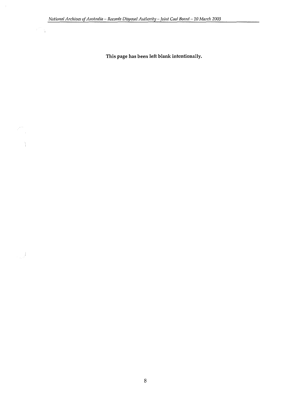$\pm$ 

 $\frac{1}{2}m\frac{1}{4}$ 

 $x_{\rm max}^{\rm obs}$ 

 $\frac{1}{2} \frac{1}{m^2}$ 

 $\frac{1}{2}$ 

This page has been left blank intentionally.